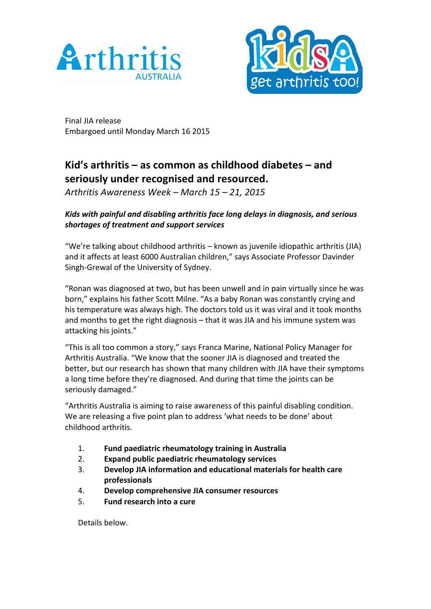



Final JIA release Embargoed until Monday March 16 2015

# **Kid's arthritis – as common as childhood diabetes – and seriously under recognised and resourced.**

*Arthritis Awareness Week – March 15 – 21, 2015*

# *Kids* with painful and disabling arthritis face long delays in diagnosis, and serious *shortages of treatment and support services*

"We're talking about childhood arthritis - known as juvenile idiopathic arthritis (JIA) and it affects at least 6000 Australian children," says Associate Professor Davinder Singh-Grewal of the University of Sydney.

"Ronan was diagnosed at two, but has been unwell and in pain virtually since he was born," explains his father Scott Milne. "As a baby Ronan was constantly crying and his temperature was always high. The doctors told us it was viral and it took months and months to get the right diagnosis  $-$  that it was JIA and his immune system was attacking his joints."

"This is all too common a story," says Franca Marine, National Policy Manager for Arthritis Australia. "We know that the sooner JIA is diagnosed and treated the better, but our research has shown that many children with JIA have their symptoms a long time before they're diagnosed. And during that time the joints can be seriously damaged."

"Arthritis Australia is aiming to raise awareness of this painful disabling condition. We are releasing a five point plan to address 'what needs to be done' about childhood arthritis.

- 1. **Fund paediatric rheumatology training in Australia**
- 2. **Expand public paediatric rheumatology services**
- 3. **Develop JIA information and educational materials for health care professionals**
- 4. **Develop comprehensive JIA consumer resources**
- 5. **Fund research into a cure**

Details below.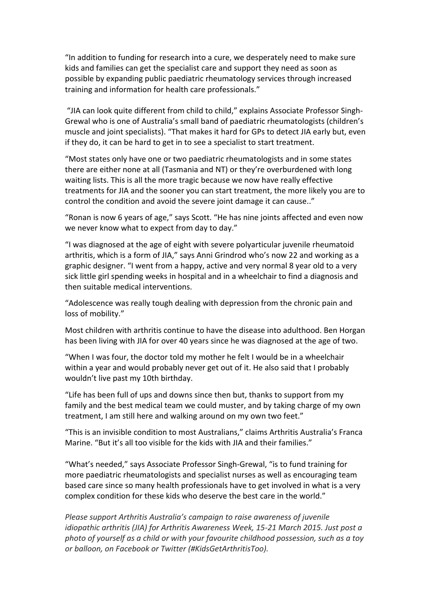"In addition to funding for research into a cure, we desperately need to make sure kids and families can get the specialist care and support they need as soon as possible by expanding public paediatric rheumatology services through increased training and information for health care professionals."

"JIA can look quite different from child to child," explains Associate Professor Singh-Grewal who is one of Australia's small band of paediatric rheumatologists (children's muscle and joint specialists). "That makes it hard for GPs to detect JIA early but, even if they do, it can be hard to get in to see a specialist to start treatment.

"Most states only have one or two paediatric rheumatologists and in some states there are either none at all (Tasmania and NT) or they're overburdened with long waiting lists. This is all the more tragic because we now have really effective treatments for JIA and the sooner you can start treatment, the more likely you are to control the condition and avoid the severe joint damage it can cause.."

"Ronan is now 6 years of age," says Scott. "He has nine joints affected and even now we never know what to expect from day to day."

"I was diagnosed at the age of eight with severe polyarticular juvenile rheumatoid arthritis, which is a form of JIA," says Anni Grindrod who's now 22 and working as a graphic designer. "I went from a happy, active and very normal 8 year old to a very sick little girl spending weeks in hospital and in a wheelchair to find a diagnosis and then suitable medical interventions.

"Adolescence was really tough dealing with depression from the chronic pain and loss of mobility."

Most children with arthritis continue to have the disease into adulthood. Ben Horgan has been living with JIA for over 40 years since he was diagnosed at the age of two.

"When I was four, the doctor told my mother he felt I would be in a wheelchair within a year and would probably never get out of it. He also said that I probably wouldn't live past my 10th birthday.

"Life has been full of ups and downs since then but, thanks to support from my family and the best medical team we could muster, and by taking charge of my own treatment, I am still here and walking around on my own two feet."

"This is an invisible condition to most Australians," claims Arthritis Australia's Franca Marine. "But it's all too visible for the kids with JIA and their families."

"What's needed," says Associate Professor Singh-Grewal, "is to fund training for more paediatric rheumatologists and specialist nurses as well as encouraging team based care since so many health professionals have to get involved in what is a very complex condition for these kids who deserve the best care in the world."

*Please support Arthritis Australia's campaign to raise awareness of juvenile idiopathic arthritis (JIA) for Arthritis Awareness Week, 15-21 March 2015. Just post a* photo of yourself as a child or with your favourite childhood possession, such as a toy *or balloon, on Facebook or Twitter (#KidsGetArthritisToo).*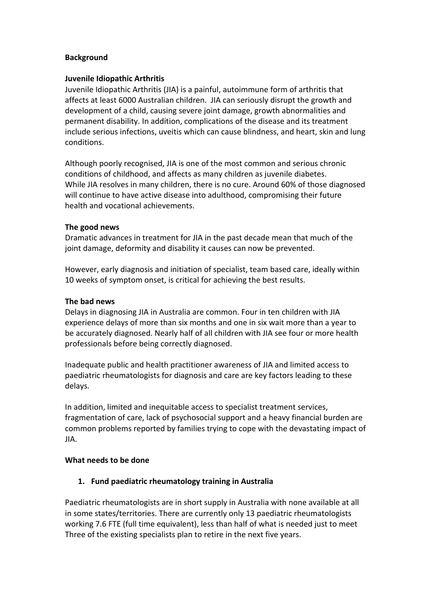#### **Background**

#### **Juvenile Idiopathic Arthritis**

Juvenile Idiopathic Arthritis (JIA) is a painful, autoimmune form of arthritis that affects at least 6000 Australian children. JIA can seriously disrupt the growth and development of a child, causing severe joint damage, growth abnormalities and permanent disability. In addition, complications of the disease and its treatment include serious infections, uveitis which can cause blindness, and heart, skin and lung conditions.

Although poorly recognised, JIA is one of the most common and serious chronic conditions of childhood, and affects as many children as juvenile diabetes. While JIA resolves in many children, there is no cure. Around 60% of those diagnosed will continue to have active disease into adulthood, compromising their future health and vocational achievements.

#### **The good news**

Dramatic advances in treatment for JIA in the past decade mean that much of the joint damage, deformity and disability it causes can now be prevented.

However, early diagnosis and initiation of specialist, team based care, ideally within 10 weeks of symptom onset, is critical for achieving the best results.

#### **The bad news**

Delays in diagnosing JIA in Australia are common. Four in ten children with JIA experience delays of more than six months and one in six wait more than a year to be accurately diagnosed. Nearly half of all children with JIA see four or more health professionals before being correctly diagnosed.

Inadequate public and health practitioner awareness of JIA and limited access to paediatric rheumatologists for diagnosis and care are key factors leading to these delays.

In addition, limited and inequitable access to specialist treatment services, fragmentation of care, lack of psychosocial support and a heavy financial burden are common problems reported by families trying to cope with the devastating impact of JIA.

#### **What needs to be done**

## **1. Fund paediatric rheumatology training in Australia**

Paediatric rheumatologists are in short supply in Australia with none available at all in some states/territories. There are currently only 13 paediatric rheumatologists working 7.6 FTE (full time equivalent), less than half of what is needed just to meet Three of the existing specialists plan to retire in the next five years.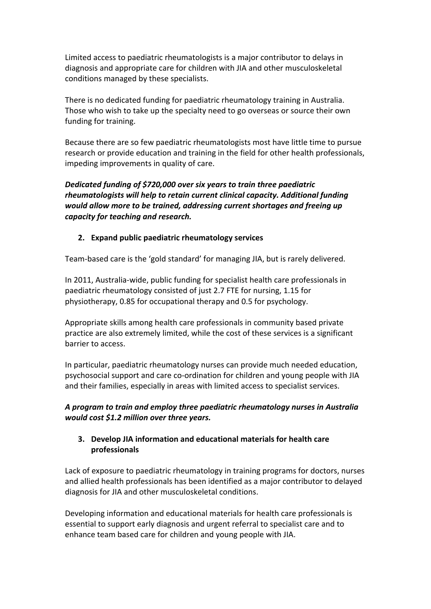Limited access to paediatric rheumatologists is a major contributor to delays in diagnosis and appropriate care for children with JIA and other musculoskeletal conditions managed by these specialists.

There is no dedicated funding for paediatric rheumatology training in Australia. Those who wish to take up the specialty need to go overseas or source their own funding for training.

Because there are so few paediatric rheumatologists most have little time to pursue research or provide education and training in the field for other health professionals, impeding improvements in quality of care.

*Dedicated funding of \$720,000 over six years to train three paediatric* rheumatologists will help to retain current clinical capacity. Additional funding *would allow more to be trained, addressing current shortages and freeing up capacity for teaching and research.*

## **2.** Expand public paediatric rheumatology services

Team-based care is the 'gold standard' for managing JIA, but is rarely delivered.

In 2011, Australia-wide, public funding for specialist health care professionals in paediatric rheumatology consisted of just 2.7 FTE for nursing, 1.15 for physiotherapy, 0.85 for occupational therapy and 0.5 for psychology.

Appropriate skills among health care professionals in community based private practice are also extremely limited, while the cost of these services is a significant barrier to access.

In particular, paediatric rheumatology nurses can provide much needed education, psychosocial support and care co-ordination for children and young people with JIA and their families, especially in areas with limited access to specialist services.

# A program to train and employ three paediatric rheumatology nurses in Australia *would cost \$1.2 million over three years.*

## **3.** Develop JIA information and educational materials for health care **professionals**

Lack of exposure to paediatric rheumatology in training programs for doctors, nurses and allied health professionals has been identified as a major contributor to delayed diagnosis for JIA and other musculoskeletal conditions.

Developing information and educational materials for health care professionals is essential to support early diagnosis and urgent referral to specialist care and to enhance team based care for children and young people with JIA.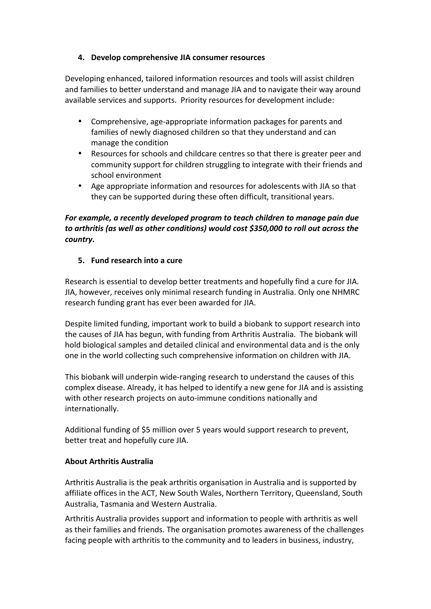## **4.** Develop comprehensive JIA consumer resources

Developing enhanced, tailored information resources and tools will assist children and families to better understand and manage JIA and to navigate their way around available services and supports. Priority resources for development include:

- Comprehensive, age-appropriate information packages for parents and families of newly diagnosed children so that they understand and can manage the condition
- Resources for schools and childcare centres so that there is greater peer and community support for children struggling to integrate with their friends and school environment
- Age appropriate information and resources for adolescents with JIA so that they can be supported during these often difficult, transitional years.

# For example, a recently developed program to teach children to manage pain due to arthritis (as well as other conditions) would cost \$350,000 to roll out across the *country.*

# **5. Fund research into a cure**

Research is essential to develop better treatments and hopefully find a cure for JIA. JIA, however, receives only minimal research funding in Australia. Only one NHMRC research funding grant has ever been awarded for JIA.

Despite limited funding, important work to build a biobank to support research into the causes of JIA has begun, with funding from Arthritis Australia. The biobank will hold biological samples and detailed clinical and environmental data and is the only one in the world collecting such comprehensive information on children with JIA.

This biobank will underpin wide-ranging research to understand the causes of this complex disease. Already, it has helped to identify a new gene for JIA and is assisting with other research projects on auto-immune conditions nationally and internationally. 

Additional funding of \$5 million over 5 years would support research to prevent, better treat and hopefully cure JIA.

## **About Arthritis Australia**

Arthritis Australia is the peak arthritis organisation in Australia and is supported by affiliate offices in the ACT, New South Wales, Northern Territory, Queensland, South Australia, Tasmania and Western Australia.

Arthritis Australia provides support and information to people with arthritis as well as their families and friends. The organisation promotes awareness of the challenges facing people with arthritis to the community and to leaders in business, industry,